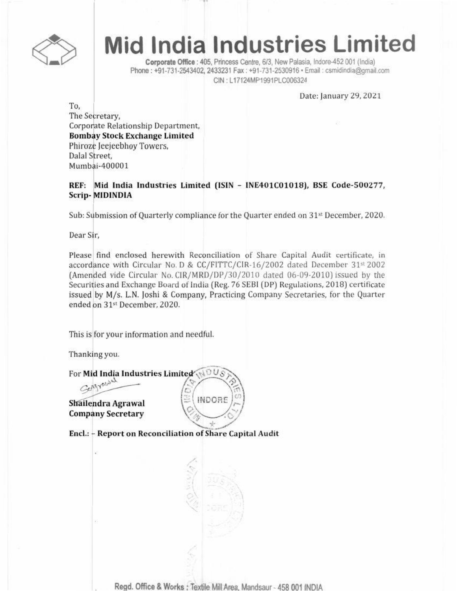

# **Mid India Industries Limited**

Corporate Office : 405, Princess Centre, 6/3, New Palasia, Indore-452 001 (India) Phone: +91-731-2543402, 2433231 Fax: +91-731-2530916 · Email: csmidindia@gmail.com CIN: L17124MP1991PLC006324

Date: January 29, 2021

To, The Secretary. Corporate Relationship Department, **Bombay Stock Exchange Limited** Phiroze Jeejeebhov Towers. Dalal Street. Mumbai-400001

REF: Mid India Industries Limited (ISIN - INE401C01018), BSE Code-500277, **Scrip-MIDINDIA** 

Sub: Submission of Quarterly compliance for the Quarter ended on 31<sup>st</sup> December, 2020.

Dear Sir.

Please find enclosed herewith Reconciliation of Share Capital Audit certificate, in accordance with Circular No. D & CC/FITTC/CIR-16/2002 dated December 31st 2002 (Amended vide Circular No. CIR/MRD/DP/30/2010 dated 06-09-2010) issued by the Securities and Exchange Board of India (Reg. 76 SEBI (DP) Regulations, 2018) certificate issued by M/s. L.N. Joshi & Company, Practicing Company Secretaries, for the Quarter ended on 31st December, 2020.

This is for your information and needful.

Thanking you.

For Mid India Industries Limited Generald

Shailendra Agrawal **Company Secretary** 

Encl.: - Report on Reconciliation of Share Capital Audit

Regd. Office & Works: Textile Mill Area, Mandsaur - 458 001 INDIA

**INDORE**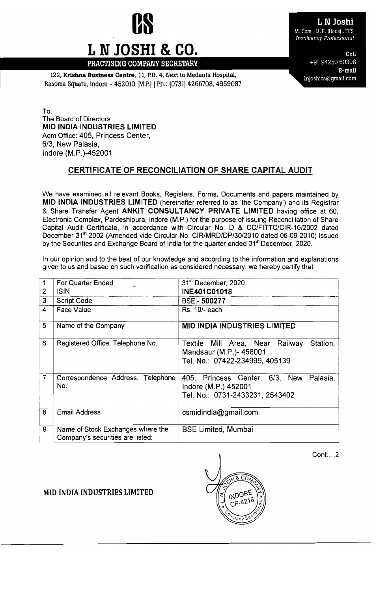

# L N Joshi

M. Com., LL.B. (Hons), FCS **Insolvency Professional** 

> Cell +91 94250 60308 E-mail Injoshics@gmail.com

122. Krishna Business Centre, 11.P.U. 4, Next to Medanta Hospital, Rasoma Square, Indore - 452010 (M.P.I | Ph.: (0731) 4266708, 4959087

PRACTISING COMPANY SECRETARY

L N JOSHI & CO.

To, The Board of Directors MID INDIA INDUSTRIES LIMITED Adm Office: 405, Princess Center, *6/3,* New Palasia, Indore (M.P.)-452001

## CERTIFICATE OF RECONCILIATION OF SHARE CAPITAL AUDIT

We have examined all relevant Books, Registers, Forms, Documents and papers maintained by MID INDIA INDUSTRIES LIMITED (hereinafter referred to as 'the Company') and its Registrar & Share Transfer Agent ANKIT CONSULTANCY PRIVATE LIMITED having office at 60, Electronic Complex, Pardeshipura, Indore (M.P.) for the purpose of issuing Reconciliation of Share Capital Audit Certificate, in accordance with Circular No. D & *CC/FITTC/CIR-16/2002* dated December 31st 2002 (Amended vide Circular No. *CIRlMRD/DP/30/2010* dated 06-09-2010) issued by the Securities and Exchange Board of India for the quarter ended 31<sup>st</sup> December, 2020.

In our opinion and to the best of our knowledge and according to the information and explanations given to us and based on such verification as considered necessary, we hereby certify that:

|                | For Quarter Ended                                                     | 31 <sup>st</sup> December, 2020                                                                          |
|----------------|-----------------------------------------------------------------------|----------------------------------------------------------------------------------------------------------|
| $\overline{2}$ | <b>ISIN</b>                                                           | <b>INE401C01018</b>                                                                                      |
| 3              | <b>Script Code</b>                                                    | <b>BSE:-500277</b>                                                                                       |
| $\overline{4}$ | Face Value                                                            | Rs. 10/- each                                                                                            |
| 5              | Name of the Company                                                   | <b>MID INDIA INDUSTRIES LIMITED</b>                                                                      |
| 6              | Registered Office, Telephone No.                                      | Textile Mill Area, Near Railway<br>Station,<br>Mandsaur (M.P.)- 458001<br>Tel. No.: 07422-234999, 405139 |
| $\overline{7}$ | Correspondence Address, Telephone<br>No.                              | 405, Princess Center, 6/3, New Palasia,<br>Indore (M.P.) 452001<br>Tel. No.: 0731-2433231, 2543402       |
| 8              | <b>Email Address</b>                                                  | csmidindia@gmail.com                                                                                     |
| 9              | Name of Stock Exchanges where the<br>Company's securities are listed: | <b>BSE Limited, Mumbai</b>                                                                               |

Cont....2

### MID INDIA INDUSTRIES LIMITED

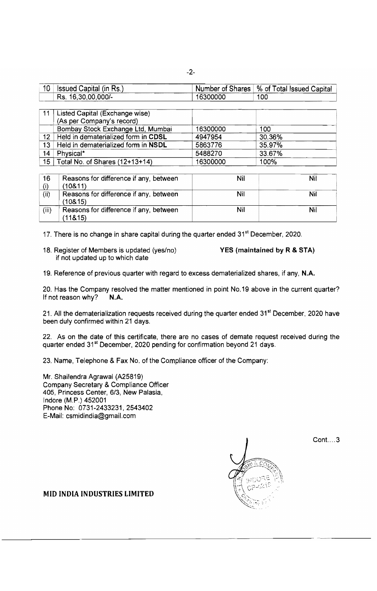| 10 <sup>°</sup> | <sup>1</sup> Issued Capital (in Rs.) |          | $\mid$ Number of Shares $\mid$ % of Total Issued Capital $\mid$ |
|-----------------|--------------------------------------|----------|-----------------------------------------------------------------|
|                 | $\pm$ Rs. 16,30,00,000/-             | 16300000 | 100                                                             |

| 11              | Listed Capital (Exchange wise)      |          |        |  |
|-----------------|-------------------------------------|----------|--------|--|
|                 | (As per Company's record)           |          |        |  |
|                 | Bombay Stock Exchange Ltd, Mumbai   | 16300000 | 100    |  |
| 12.             | Held in dematerialized form in CDSL | 4947954  | 30.36% |  |
| 13 <sup>1</sup> | Held in dematerialized form in NSDL | 5863776  | 35.97% |  |
| 14              | Physical*                           | 5488270  | 33.67% |  |
|                 | 15   Total No. of Shares (12+13+14) | 16300000 | 100%   |  |

| 16    | Reasons for difference if any, between             | Nil | Nil |
|-------|----------------------------------------------------|-----|-----|
| (i)   | (10811)                                            |     |     |
| (ii)  | Reasons for difference if any, between<br>(108.15) | Nil | Nil |
| (iii) | Reasons for difference if any, between<br>(11&15)  | Nil | Nil |

17. There is no change in share capital during the quarter ended 31<sup>st</sup> December, 2020.

18. Register of Members is updated (yes/no) YES (maintained by R & STA) if not updated up to which date

19. Reference of previous quarter with regard to excess dematerialized shares, if any, N.A.

20. Has the Company resolved the matter mentioned in point No.19 above in the current quarter? If not reason why?  $N.A$ .

21. All the dematerialization requests received during the quarter ended 31<sup>st</sup> December, 2020 have been duly confirmed within 21 days.

22. As on the date of this certificate, there are no cases of demate request received during the quarter ended 31<sup>st</sup> December, 2020 pending for confirmation beyond 21 days.

23. Name, Telephone & Fax No. of the Compliance officer of the Company:

Mr. Shailendra Agrawal (A25819) Company Secretary & Compliance Officer 405, Princess Center, *6/3,* New Palasia, Indore (M.P.) 452001 Phone No: 0731-2433231,2543402 E-Mail: [csmidindia@gmail.com](mailto:csmidindia@gmail.com)



 $Cont. \ldots 3$ 

MID INDIA INDUSTRIES LIMITED